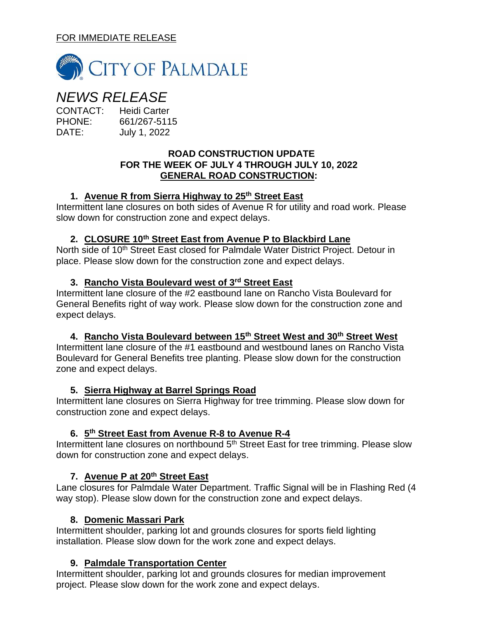## FOR IMMEDIATE RELEASE



# *NEWS RELEASE*

CONTACT: Heidi Carter PHONE: 661/267-5115 DATE: July 1, 2022

#### **ROAD CONSTRUCTION UPDATE FOR THE WEEK OF JULY 4 THROUGH JULY 10, 2022 GENERAL ROAD CONSTRUCTION:**

## **1. Avenue R from Sierra Highway to 25th Street East**

Intermittent lane closures on both sides of Avenue R for utility and road work. Please slow down for construction zone and expect delays.

## **2. CLOSURE 10th Street East from Avenue P to Blackbird Lane**

North side of 10<sup>th</sup> Street East closed for Palmdale Water District Project. Detour in place. Please slow down for the construction zone and expect delays.

## **3. Rancho Vista Boulevard west of 3rd Street East**

Intermittent lane closure of the #2 eastbound lane on Rancho Vista Boulevard for General Benefits right of way work. Please slow down for the construction zone and expect delays.

#### **4. Rancho Vista Boulevard between 15th Street West and 30th Street West**

Intermittent lane closure of the #1 eastbound and westbound lanes on Rancho Vista Boulevard for General Benefits tree planting. Please slow down for the construction zone and expect delays.

#### **5. Sierra Highway at Barrel Springs Road**

Intermittent lane closures on Sierra Highway for tree trimming. Please slow down for construction zone and expect delays.

# **6. 5 th Street East from Avenue R-8 to Avenue R-4**

Intermittent lane closures on northbound 5<sup>th</sup> Street East for tree trimming. Please slow down for construction zone and expect delays.

# **7. Avenue P at 20th Street East**

Lane closures for Palmdale Water Department. Traffic Signal will be in Flashing Red (4 way stop). Please slow down for the construction zone and expect delays.

# **8. Domenic Massari Park**

Intermittent shoulder, parking lot and grounds closures for sports field lighting installation. Please slow down for the work zone and expect delays.

# **9. Palmdale Transportation Center**

Intermittent shoulder, parking lot and grounds closures for median improvement project. Please slow down for the work zone and expect delays.